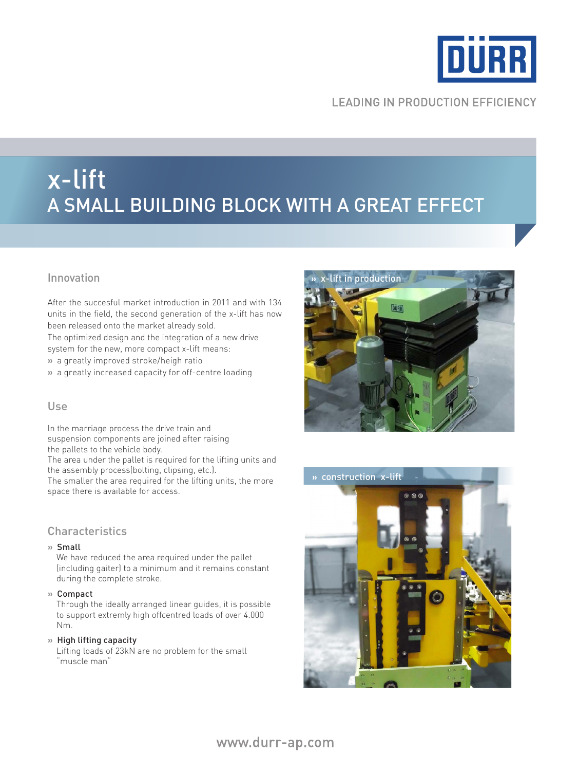

# **LEADING IN PRODUCTION EFFICIENCY**

# x-lift A small building block with a great effect

# Innovation

After the succesful market introduction in 2011 and with 134 units in the field, the second generation of the x-lift has now been released onto the market already sold.

The optimized design and the integration of a new drive

system for the new, more compact x-lift means:

**»** a greatly improved stroke/heigh ratio

**»** a greatly increased capacity for off-centre loading

# Use

In the marriage process the drive train and suspension components are joined after raising the pallets to the vehicle body.

The area under the pallet is required for the lifting units and the assembly process(bolting, clipsing, etc.).

The smaller the area required for the lifting units, the more space there is available for access.

#### **Characteristics**

#### **»** Small

 We have reduced the area required under the pallet (including gaiter) to a minimum and it remains constant during the complete stroke.

#### **»** Compact

 Through the ideally arranged linear guides, it is possible to support extremly high offcentred loads of over 4.000 Nm.

**»** High lifting capacity

 Lifting loads of 23kN are no problem for the small "muscle man"